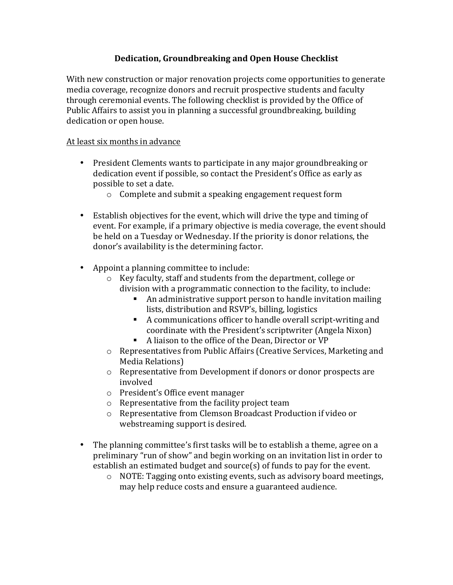## **Dedication, Groundbreaking and Open House Checklist**

With new construction or major renovation projects come opportunities to generate media coverage, recognize donors and recruit prospective students and faculty through ceremonial events. The following checklist is provided by the Office of Public Affairs to assist you in planning a successful groundbreaking, building dedication or open house.

#### At least six months in advance

- President Clements wants to participate in any major groundbreaking or dedication event if possible, so contact the President's Office as early as possible to set a date.
	- $\circ$  Complete and submit a speaking engagement request form
- Establish objectives for the event, which will drive the type and timing of event. For example, if a primary objective is media coverage, the event should be held on a Tuesday or Wednesday. If the priority is donor relations, the donor's availability is the determining factor.
- Appoint a planning committee to include:
	- $\circ$  Key faculty, staff and students from the department, college or division with a programmatic connection to the facility, to include:
		- An administrative support person to handle invitation mailing lists, distribution and RSVP's, billing, logistics
		- A communications officer to handle overall script-writing and coordinate with the President's scriptwriter (Angela Nixon)
		- A liaison to the office of the Dean, Director or VP
	- $\circ$  Representatives from Public Affairs (Creative Services, Marketing and Media Relations)
	- $\circ$  Representative from Development if donors or donor prospects are involved
	- $\circ$  President's Office event manager
	- $\circ$  Representative from the facility project team
	- $\circ$  Representative from Clemson Broadcast Production if video or webstreaming support is desired.
- The planning committee's first tasks will be to establish a theme, agree on a preliminary "run of show" and begin working on an invitation list in order to establish an estimated budget and source(s) of funds to pay for the event.
	- $\circ$  NOTE: Tagging onto existing events, such as advisory board meetings, may help reduce costs and ensure a guaranteed audience.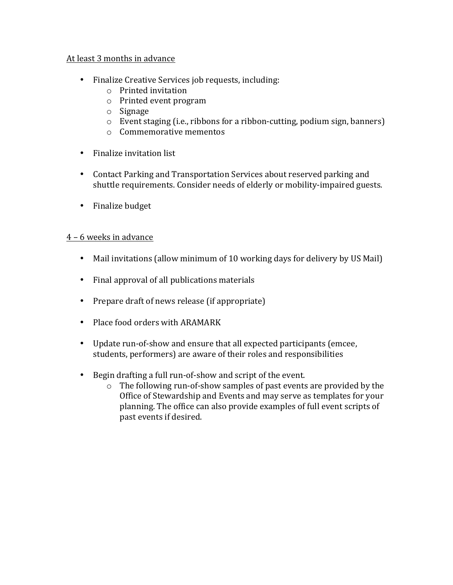#### At least 3 months in advance

- Finalize Creative Services job requests, including:
	- $\circ$  Printed invitation
	- $\circ$  Printed event program
	- o Signage
	- $\circ$  Event staging (i.e., ribbons for a ribbon-cutting, podium sign, banners)
	- $\circ$  Commemorative mementos
- Finalize invitation list
- Contact Parking and Transportation Services about reserved parking and shuttle requirements. Consider needs of elderly or mobility-impaired guests.
- Finalize budget

#### 4 – 6 weeks in advance

- Mail invitations (allow minimum of 10 working days for delivery by US Mail)
- Final approval of all publications materials
- Prepare draft of news release (if appropriate)
- Place food orders with ARAMARK
- Update run-of-show and ensure that all expected participants (emcee, students, performers) are aware of their roles and responsibilities
- Begin drafting a full run-of-show and script of the event.
	- $\circ$  The following run-of-show samples of past events are provided by the Office of Stewardship and Events and may serve as templates for your planning. The office can also provide examples of full event scripts of past events if desired.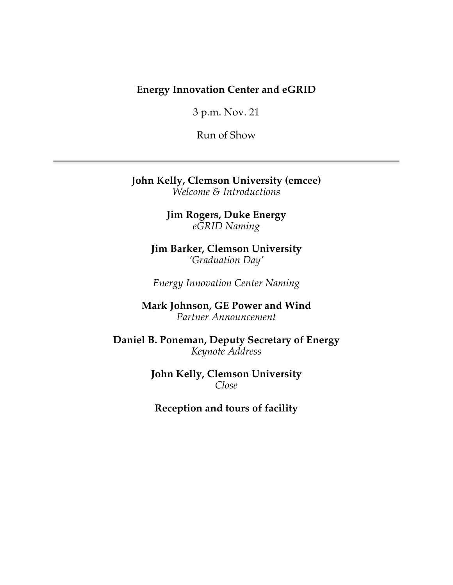## **Energy Innovation Center and eGRID**

3 p.m. Nov. 21

Run of Show

**John Kelly, Clemson University (emcee)** *Welcome & Introductions*

> **Jim Rogers, Duke Energy** *eGRID Naming*

**Jim Barker, Clemson University** *'Graduation Day'*

*Energy Innovation Center Naming*

**Mark Johnson, GE Power and Wind** *Partner Announcement*

**Daniel B. Poneman, Deputy Secretary of Energy** *Keynote Address*

> **John Kelly, Clemson University** *Close*

**Reception and tours of facility**